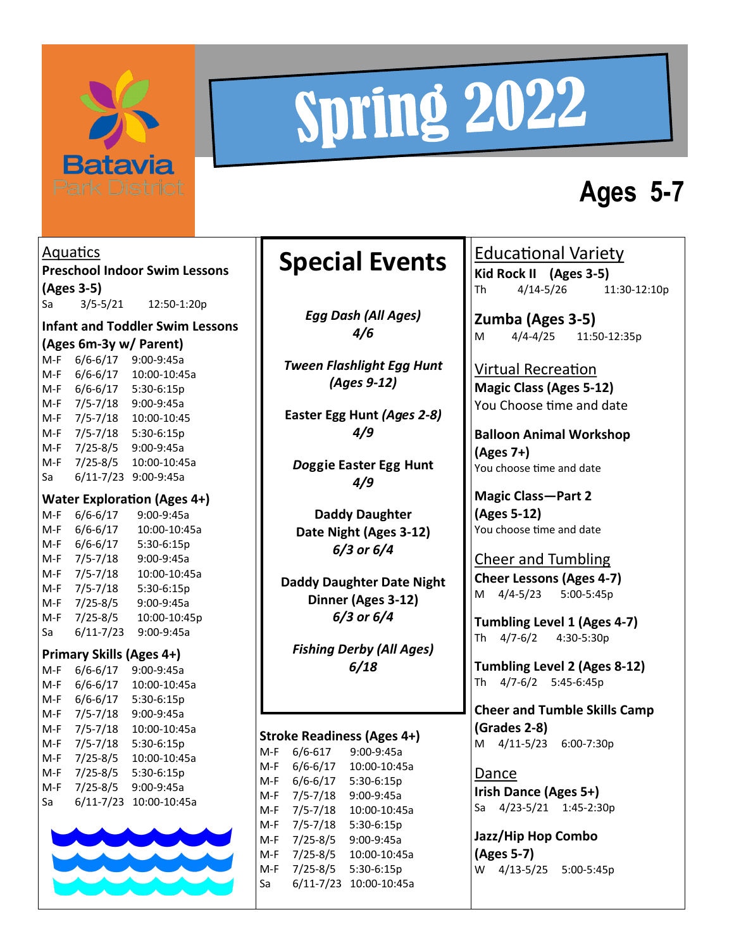

# Spring 2022

## **Ages 5-7**

**Aquatics Preschool Indoor Swim Lessons (Ages 3-5)** Sa 3/5-5/21 12:50-1:20p **Infant and Toddler Swim Lessons (Ages 6m-3y w/ Parent)** 6/6-6/17 9:00-9:45a M-F 6/6-6/17 10:00-10:45a M-F 6/6-6/17 5:30-6:15p M-F 7/5-7/18 9:00-9:45a M-F 7/5-7/18 10:00-10:45 M-F 7/5-7/18 5:30-6:15p M-F 7/25-8/5 9:00-9:45a M-F 7/25-8/5 10:00-10:45a Sa 6/11-7/23 9:00-9:45a **Water Exploration (Ages 4+)**<br>M-F 6/6-6/17 9:00-9:45a  $M-F$  6/6-6/17 M-F 6/6-6/17 10:00-10:45a M-F 6/6-6/17 5:30-6:15p M-F 7/5-7/18 9:00-9:45a M-F 7/5-7/18 10:00-10:45a M-F 7/5-7/18 5:30-6:15p M-F 7/25-8/5 9:00-9:45a M-F 7/25-8/5 10:00-10:45p Sa 6/11-7/23 9:00-9:45a **Primary Skills (Ages 4+)** M-F 6/6-6/17 9:00-9:45a M-F 6/6-6/17 10:00-10:45a M-F 6/6-6/17 5:30-6:15p M-F 7/5-7/18 9:00-9:45a M-F 7/5-7/18 10:00-10:45a M-F 7/5-7/18 5:30-6:15p M-F 7/25-8/5 10:00-10:45a M-F 7/25-8/5 5:30-6:15p M-F 7/25-8/5 9:00-9:45a Sa 6/11-7/23 10:00-10:45a

## **Special Events**

*Egg Dash (All Ages) 4/6*

*Tween Flashlight Egg Hunt (Ages 9-12)*

**Easter Egg Hunt** *(Ages 2-8) 4/9*

*Do***ggie Easter Egg Hunt** *4/9*

**Daddy Daughter Date Night (Ages 3-12)**  *6/3 or 6/4*

**Daddy Daughter Date Night Dinner (Ages 3-12)** *6/3 or 6/4*

*Fishing Derby (All Ages) 6/18*

### **Stroke Readiness (Ages 4+)**

M-F 6/6-617 9:00-9:45a M-F 6/6-6/17 10:00-10:45a M-F 6/6-6/17 5:30-6:15p M-F 7/5-7/18 9:00-9:45a M-F 7/5-7/18 10:00-10:45a M-F 7/5-7/18 5:30-6:15p M-F 7/25-8/5 9:00-9:45a M-F 7/25-8/5 10:00-10:45a M-F 7/25-8/5 5:30-6:15p Sa 6/11-7/23 10:00-10:45a

Educational Variety **Kid Rock II (Ages 3-5)** Th 4/14-5/26 11:30-12:10p

**Zumba (Ages 3-5)** M 4/4-4/25 11:50-12:35p

Virtual Recreation **Magic Class (Ages 5-12)** You Choose time and date

**Balloon Animal Workshop (Ages 7+)** You choose time and date

**Magic Class—Part 2 (Ages 5-12)** You choose time and date

Cheer and Tumbling **Cheer Lessons (Ages 4-7)** M 4/4-5/23 5:00-5:45p

**Tumbling Level 1 (Ages 4-7)** Th 4/7-6/2 4:30-5:30p

**Tumbling Level 2 (Ages 8-12)** Th 4/7-6/2 5:45-6:45p

**Cheer and Tumble Skills Camp (Grades 2-8)** M 4/11-5/23 6:00-7:30p

Dance **Irish Dance (Ages 5+)** Sa 4/23-5/21 1:45-2:30p

**Jazz/Hip Hop Combo (Ages 5-7)** W 4/13-5/25 5:00-5:45p